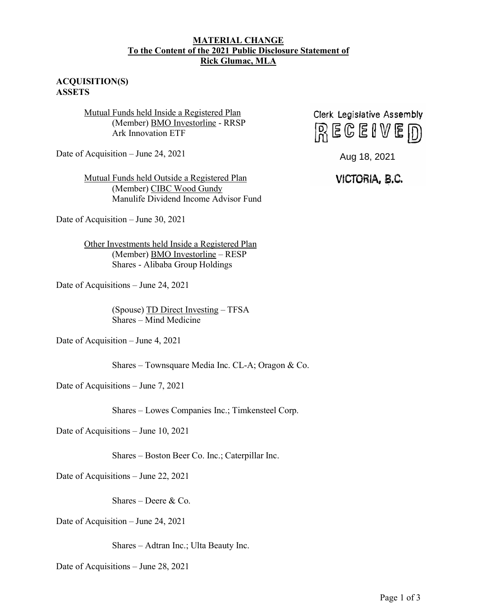## **MATERIAL CHANGE To the Content of the 2021 Public Disclosure Statement of Rick Glumac, MLA**

## **ACQUISITION(S) ASSETS**

Mutual Funds held Inside a Registered Plan (Member) BMO Investorline - RRSP Ark Innovation ETF

Date of Acquisition – June 24, 2021

Mutual Funds held Outside a Registered Plan (Member) CIBC Wood Gundy Manulife Dividend Income Advisor Fund

Date of Acquisition – June 30, 2021

Other Investments held Inside a Registered Plan (Member) BMO Investorline – RESP Shares - Alibaba Group Holdings

Date of Acquisitions – June 24, 2021

(Spouse) TD Direct Investing – TFSA Shares – Mind Medicine

Date of Acquisition – June 4, 2021

Shares – Townsquare Media Inc. CL-A; Oragon & Co.

Date of Acquisitions – June 7, 2021

Shares – Lowes Companies Inc.; Timkensteel Corp.

Date of Acquisitions – June 10, 2021

Shares – Boston Beer Co. Inc.; Caterpillar Inc.

Date of Acquisitions – June 22, 2021

Shares – Deere & Co.

Date of Acquisition – June 24, 2021

Shares – Adtran Inc.; Ulta Beauty Inc.

Date of Acquisitions – June 28, 2021



## Aug 18, 2021<br>**VICTORIA, B.C.**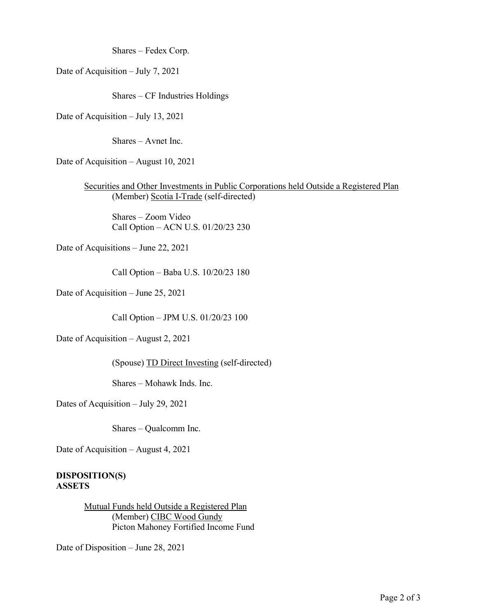Shares – Fedex Corp.

Date of Acquisition – July 7, 2021

Shares – CF Industries Holdings

Date of Acquisition – July 13, 2021

Shares – Avnet Inc.

Date of Acquisition – August 10, 2021

Securities and Other Investments in Public Corporations held Outside a Registered Plan (Member) Scotia I-Trade (self-directed)

Shares – Zoom Video Call Option – ACN U.S. 01/20/23 230

Date of Acquisitions – June 22, 2021

Call Option – Baba U.S. 10/20/23 180

Date of Acquisition – June 25, 2021

Call Option – JPM U.S. 01/20/23 100

Date of Acquisition – August 2, 2021

(Spouse) TD Direct Investing (self-directed)

Shares – Mohawk Inds. Inc.

Dates of Acquisition – July 29, 2021

Shares – Qualcomm Inc.

Date of Acquisition – August 4, 2021

**DISPOSITION(S) ASSETS**

> Mutual Funds held Outside a Registered Plan (Member) CIBC Wood Gundy Picton Mahoney Fortified Income Fund

Date of Disposition – June 28, 2021